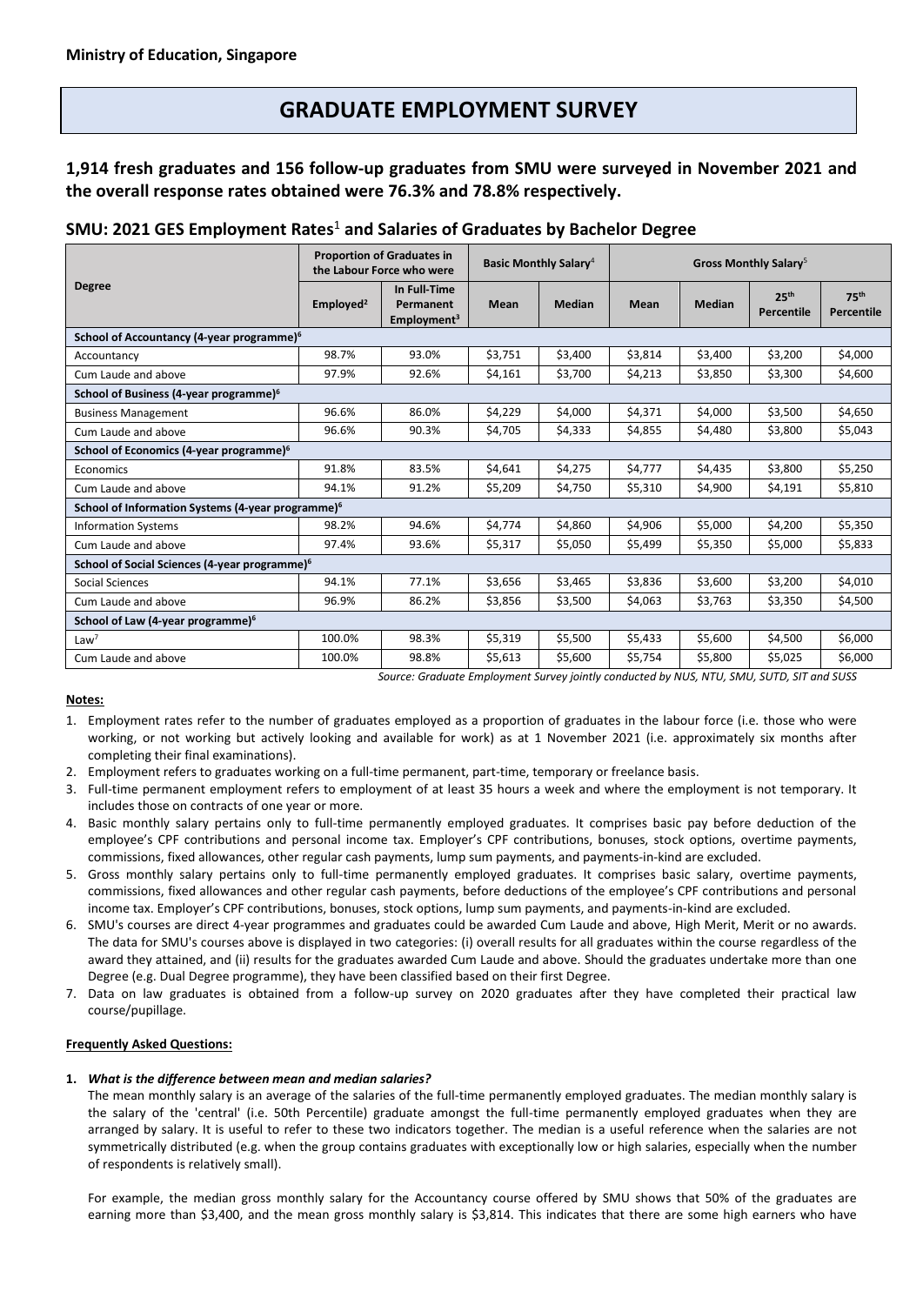# **GRADUATE EMPLOYMENT SURVEY**

# **1,914 fresh graduates and 156 follow-up graduates from SMU were surveyed in November 2021 and the overall response rates obtained were 76.3% and 78.8% respectively.**

# **SMU: 2021 GES Employment Rates** <sup>1</sup> **and Salaries of Graduates by Bachelor Degree**

| <b>Degree</b>                                                                             | <b>Proportion of Graduates in</b><br>the Labour Force who were |                                                      | <b>Basic Monthly Salary</b> <sup>4</sup> |               | Gross Monthly Salary <sup>5</sup> |               |                                |                           |
|-------------------------------------------------------------------------------------------|----------------------------------------------------------------|------------------------------------------------------|------------------------------------------|---------------|-----------------------------------|---------------|--------------------------------|---------------------------|
|                                                                                           | Employed <sup>2</sup>                                          | In Full-Time<br>Permanent<br>Employment <sup>3</sup> | <b>Mean</b>                              | <b>Median</b> | <b>Mean</b>                       | <b>Median</b> | 25 <sup>th</sup><br>Percentile | <b>75th</b><br>Percentile |
| School of Accountancy (4-year programme) <sup>6</sup>                                     |                                                                |                                                      |                                          |               |                                   |               |                                |                           |
| Accountancy                                                                               | 98.7%                                                          | 93.0%                                                | \$3,751                                  | \$3,400       | \$3,814                           | \$3,400       | \$3,200                        | \$4,000                   |
| Cum Laude and above                                                                       | 97.9%                                                          | 92.6%                                                | \$4,161                                  | \$3,700       | \$4,213                           | \$3,850       | \$3,300                        | \$4,600                   |
| School of Business (4-year programme) <sup>6</sup>                                        |                                                                |                                                      |                                          |               |                                   |               |                                |                           |
| <b>Business Management</b>                                                                | 96.6%                                                          | 86.0%                                                | \$4,229                                  | \$4,000       | \$4,371                           | \$4,000       | \$3,500                        | \$4,650                   |
| Cum Laude and above                                                                       | 96.6%                                                          | 90.3%                                                | \$4,705                                  | \$4,333       | \$4,855                           | \$4,480       | \$3,800                        | \$5,043                   |
| School of Economics (4-year programme) <sup>6</sup>                                       |                                                                |                                                      |                                          |               |                                   |               |                                |                           |
| Economics                                                                                 | 91.8%                                                          | 83.5%                                                | \$4,641                                  | \$4,275       | \$4,777                           | \$4,435       | \$3,800                        | \$5,250                   |
| Cum Laude and above                                                                       | 94.1%                                                          | 91.2%                                                | \$5,209                                  | \$4,750       | \$5,310                           | \$4,900       | \$4,191                        | \$5,810                   |
| School of Information Systems (4-year programme) <sup>6</sup>                             |                                                                |                                                      |                                          |               |                                   |               |                                |                           |
| <b>Information Systems</b>                                                                | 98.2%                                                          | 94.6%                                                | \$4,774                                  | \$4,860       | \$4,906                           | \$5,000       | \$4,200                        | \$5,350                   |
| Cum Laude and above                                                                       | 97.4%                                                          | 93.6%                                                | \$5,317                                  | \$5,050       | \$5,499                           | \$5,350       | \$5,000                        | \$5,833                   |
| School of Social Sciences (4-year programme) <sup>6</sup>                                 |                                                                |                                                      |                                          |               |                                   |               |                                |                           |
| Social Sciences                                                                           | 94.1%                                                          | 77.1%                                                | \$3,656                                  | \$3,465       | \$3,836                           | \$3,600       | \$3,200                        | \$4,010                   |
| Cum Laude and above                                                                       | 96.9%                                                          | 86.2%                                                | \$3,856                                  | \$3,500       | \$4,063                           | \$3,763       | \$3,350                        | \$4,500                   |
| School of Law (4-year programme) <sup>6</sup>                                             |                                                                |                                                      |                                          |               |                                   |               |                                |                           |
| Law <sup>7</sup>                                                                          | 100.0%                                                         | 98.3%                                                | \$5,319                                  | \$5,500       | \$5,433                           | \$5,600       | \$4,500                        | \$6,000                   |
| Cum Laude and above                                                                       | 100.0%                                                         | 98.8%                                                | \$5,613                                  | \$5,600       | \$5,754                           | \$5,800       | \$5,025                        | \$6,000                   |
| Source: Graduate Employment Survey jointly conducted by NUS, NTU, SMU, SUTD, SIT and SUSS |                                                                |                                                      |                                          |               |                                   |               |                                |                           |

### **Notes:**

1. Employment rates refer to the number of graduates employed as a proportion of graduates in the labour force (i.e. those who were working, or not working but actively looking and available for work) as at 1 November 2021 (i.e. approximately six months after completing their final examinations).

2. Employment refers to graduates working on a full-time permanent, part-time, temporary or freelance basis.

3. Full-time permanent employment refers to employment of at least 35 hours a week and where the employment is not temporary. It includes those on contracts of one year or more.

- 4. Basic monthly salary pertains only to full-time permanently employed graduates. It comprises basic pay before deduction of the employee's CPF contributions and personal income tax. Employer's CPF contributions, bonuses, stock options, overtime payments, commissions, fixed allowances, other regular cash payments, lump sum payments, and payments-in-kind are excluded.
- 5. Gross monthly salary pertains only to full-time permanently employed graduates. It comprises basic salary, overtime payments, commissions, fixed allowances and other regular cash payments, before deductions of the employee's CPF contributions and personal income tax. Employer's CPF contributions, bonuses, stock options, lump sum payments, and payments-in-kind are excluded.
- 6. SMU's courses are direct 4-year programmes and graduates could be awarded Cum Laude and above, High Merit, Merit or no awards. The data for SMU's courses above is displayed in two categories: (i) overall results for all graduates within the course regardless of the award they attained, and (ii) results for the graduates awarded Cum Laude and above. Should the graduates undertake more than one Degree (e.g. Dual Degree programme), they have been classified based on their first Degree.
- 7. Data on law graduates is obtained from a follow-up survey on 2020 graduates after they have completed their practical law course/pupillage.

## **Frequently Asked Questions:**

### **1.** *What is the difference between mean and median salaries?*

The mean monthly salary is an average of the salaries of the full-time permanently employed graduates. The median monthly salary is the salary of the 'central' (i.e. 50th Percentile) graduate amongst the full-time permanently employed graduates when they are arranged by salary. It is useful to refer to these two indicators together. The median is a useful reference when the salaries are not symmetrically distributed (e.g. when the group contains graduates with exceptionally low or high salaries, especially when the number of respondents is relatively small).

For example, the median gross monthly salary for the Accountancy course offered by SMU shows that 50% of the graduates are earning more than \$3,400, and the mean gross monthly salary is \$3,814. This indicates that there are some high earners who have